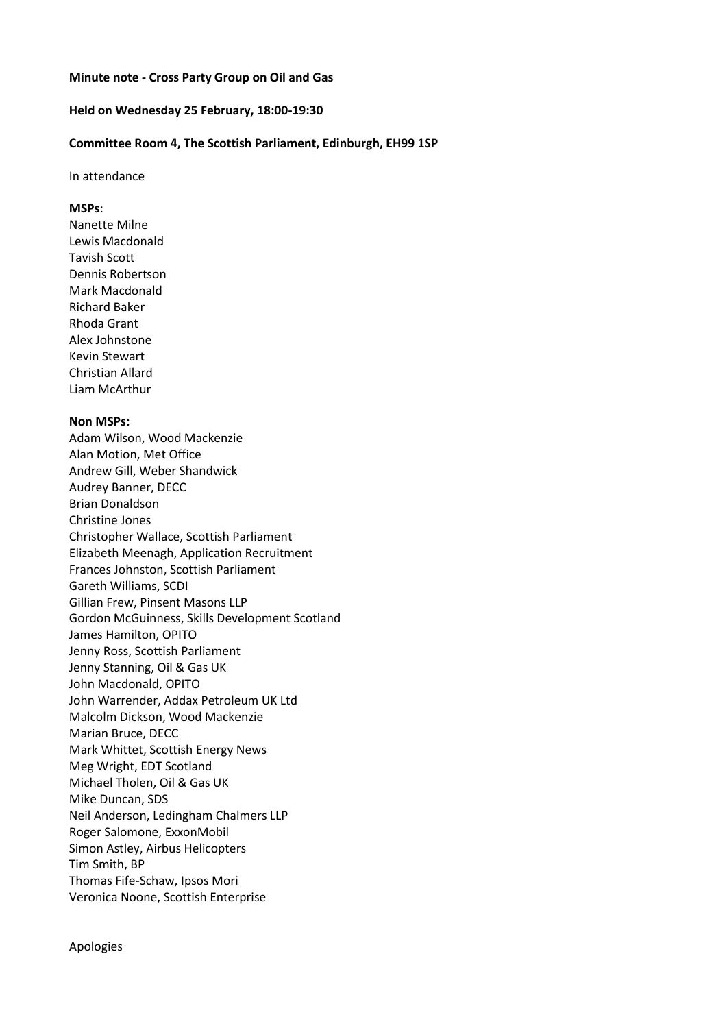### **Minute note - Cross Party Group on Oil and Gas**

## **Held on Wednesday 25 February, 18:00-19:30**

## **Committee Room 4, The Scottish Parliament, Edinburgh, EH99 1SP**

#### In attendance

#### **MSPs**:

Nanette Milne Lewis Macdonald Tavish Scott Dennis Robertson Mark Macdonald Richard Baker Rhoda Grant Alex Johnstone Kevin Stewart Christian Allard Liam McArthur

# **Non MSPs:**

Adam Wilson, Wood Mackenzie Alan Motion, Met Office Andrew Gill, Weber Shandwick Audrey Banner, DECC Brian Donaldson Christine Jones Christopher Wallace, Scottish Parliament Elizabeth Meenagh, Application Recruitment Frances Johnston, Scottish Parliament Gareth Williams, SCDI Gillian Frew, Pinsent Masons LLP Gordon McGuinness, Skills Development Scotland James Hamilton, OPITO Jenny Ross, Scottish Parliament Jenny Stanning, Oil & Gas UK John Macdonald, OPITO John Warrender, Addax Petroleum UK Ltd Malcolm Dickson, Wood Mackenzie Marian Bruce, DECC Mark Whittet, Scottish Energy News Meg Wright, EDT Scotland Michael Tholen, Oil & Gas UK Mike Duncan, SDS Neil Anderson, Ledingham Chalmers LLP Roger Salomone, ExxonMobil Simon Astley, Airbus Helicopters Tim Smith, BP Thomas Fife-Schaw, Ipsos Mori Veronica Noone, Scottish Enterprise